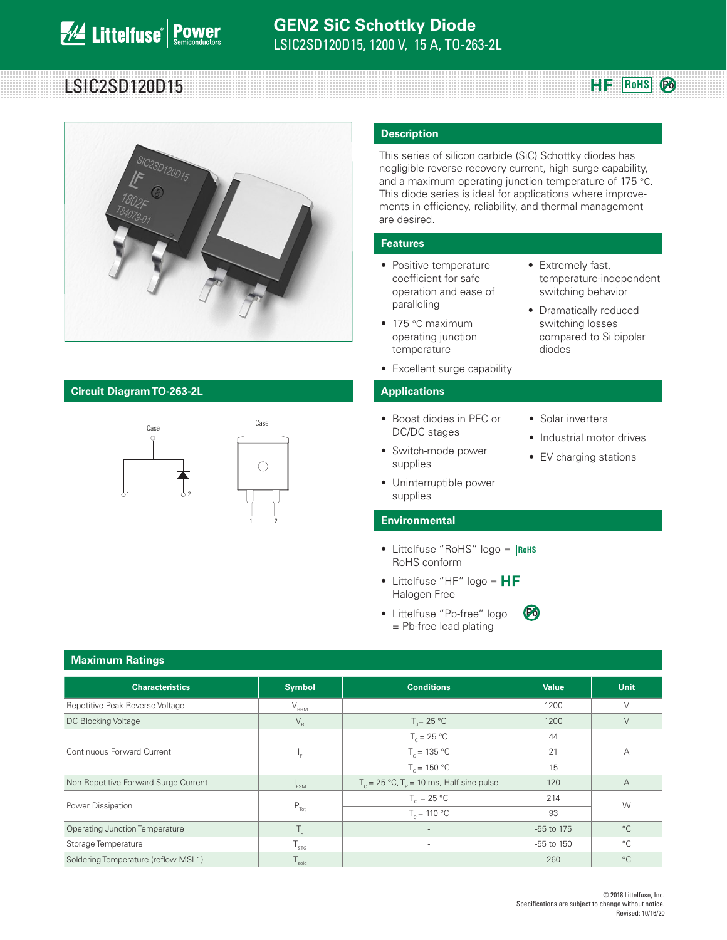# **Robert LSIC2SD120D15**



### **Circuit Diagram TO-263-2L Applications**



#### **Description**

This series of silicon carbide (SiC) Schottky diodes has negligible reverse recovery current, high surge capability, and a maximum operating junction temperature of 175 °C. This diode series is ideal for applications where improvements in efficiency, reliability, and thermal management are desired.

#### **Features**

- Positive temperature coefficient for safe operation and ease of paralleling
- 175 °C maximum operating junction temperature
- Excellent surge capability

- Boost diodes in PFC or DC/DC stages
- Switch-mode power supplies
- Solar inverters

diodes

• Extremely fast,

temperature-independent switching behavior • Dramatically reduced switching losses compared to Si bipolar

**HF** ROHS **Po** 

- Industrial motor drives
- EV charging stations
- Uninterruptible power supplies

#### **Environmental**

- Littelfuse "RoHS" logo = **RoHS** RoHS conform
- Littelfuse "HF" logo =  $HF$ Halogen Free
- Littelfuse "Pb-free" logo = Pb-free lead plating **Pb**

| <b>Maximum Ratings</b>                |                  |                                                                 |                |             |  |
|---------------------------------------|------------------|-----------------------------------------------------------------|----------------|-------------|--|
| <b>Characteristics</b>                | <b>Symbol</b>    | <b>Conditions</b>                                               | <b>Value</b>   | Unit        |  |
| Repetitive Peak Reverse Voltage       | $V_{\rm RRM}$    | ٠                                                               | 1200           | V           |  |
| DC Blocking Voltage                   | $V_R$            | $T = 25 °C$                                                     | 1200           | $\vee$      |  |
|                                       |                  | $T_c = 25 °C$                                                   | 44             | А           |  |
| Continuous Forward Current            | ц.               | $T_c = 135 °C$                                                  | 21             |             |  |
|                                       |                  | $T_c = 150 °C$                                                  | 15             |             |  |
| Non-Repetitive Forward Surge Current  | <sup>1</sup> FSM | $T_c = 25 \text{ °C}$ , $T_p = 10 \text{ ms}$ , Half sine pulse | 120            | A           |  |
| Power Dissipation                     |                  | $T_c = 25 °C$                                                   | 214            | W           |  |
|                                       | $P_{\text{Tot}}$ | $T_c = 110 °C$                                                  | 93             |             |  |
| <b>Operating Junction Temperature</b> | Τ,               | $\overline{\phantom{a}}$                                        | -55 to 175     | $^{\circ}C$ |  |
| Storage Temperature                   | STG              | ٠                                                               | $-55$ to $150$ | $^{\circ}C$ |  |
| Soldering Temperature (reflow MSL1)   | sold             |                                                                 | 260            | $^{\circ}C$ |  |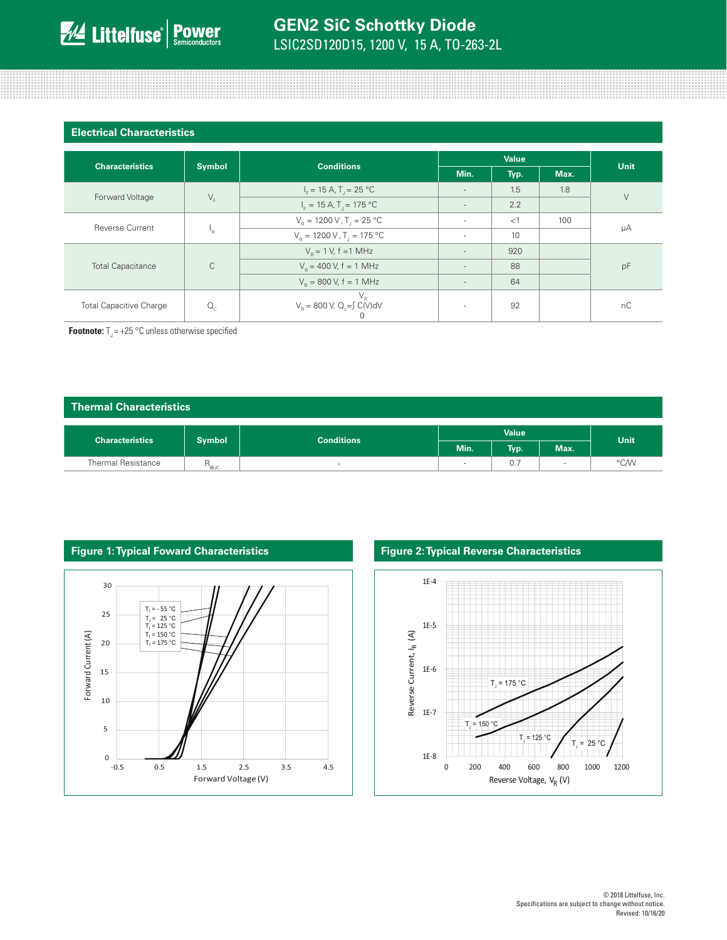| <b>Electrical Characteristics</b>       |              |                                                                |        |      |      |        |  |
|-----------------------------------------|--------------|----------------------------------------------------------------|--------|------|------|--------|--|
|                                         |              |                                                                | Value  |      |      |        |  |
| <b>Symbol</b><br><b>Characteristics</b> |              | <b>Conditions</b>                                              | Min.   | Typ. | Max. | Unit   |  |
|                                         | $V_F$        | $I_c = 15 A$ , T <sub>1</sub> = 25 °C                          | $\sim$ | 1.5  | 1.8  | $\vee$ |  |
| Forward Voltage                         |              | $I_F = 15 A, T_J = 175 °C$                                     | $\sim$ | 2.2  |      |        |  |
| <b>Reverse Current</b>                  | 'R           | $V_R = 1200 V$ , T <sub>j</sub> = 25 °C                        | $\sim$ | <1   | 100  | μA     |  |
|                                         |              | $V_{\rm B} = 1200 \,\rm V$ , T <sub>1</sub> = 175 °C<br>$\sim$ |        | 10   |      |        |  |
| <b>Total Capacitance</b>                | $\mathsf{C}$ | $V_p = 1 V$ , f = 1 MHz                                        | $\sim$ | 920  |      | pF     |  |
|                                         |              | $V_R$ = 400 V, f = 1 MHz                                       | $\sim$ | 88   |      |        |  |
|                                         |              | $V_R$ = 800 V, f = 1 MHz<br>$\sim$                             |        | 64   |      |        |  |
| <b>Total Capacitive Charge</b>          | $Q_{c}$      | $V_R$<br>$V_R$ = 800 V, Q <sub>c</sub> = $\int C(V) dV$        | ۰      | 92   |      | nC     |  |

**Footnote:**  $T_1 = +25$  °C unless otherwise specified

#### **Thermal Characteristics**

| <b>Characteristics</b>    | <b>Symbol</b> | <b>Conditions</b> |      | Value <sup>1</sup>              |                          | <b>Unit</b> |
|---------------------------|---------------|-------------------|------|---------------------------------|--------------------------|-------------|
|                           |               |                   | Min. | <b>Typ.</b>                     | Max.                     |             |
| <b>Thermal Resistance</b> | D<br>' 'euc   | $\sim$            |      | $\overline{\phantom{a}}$<br>0., | $\overline{\phantom{a}}$ | °C/W        |



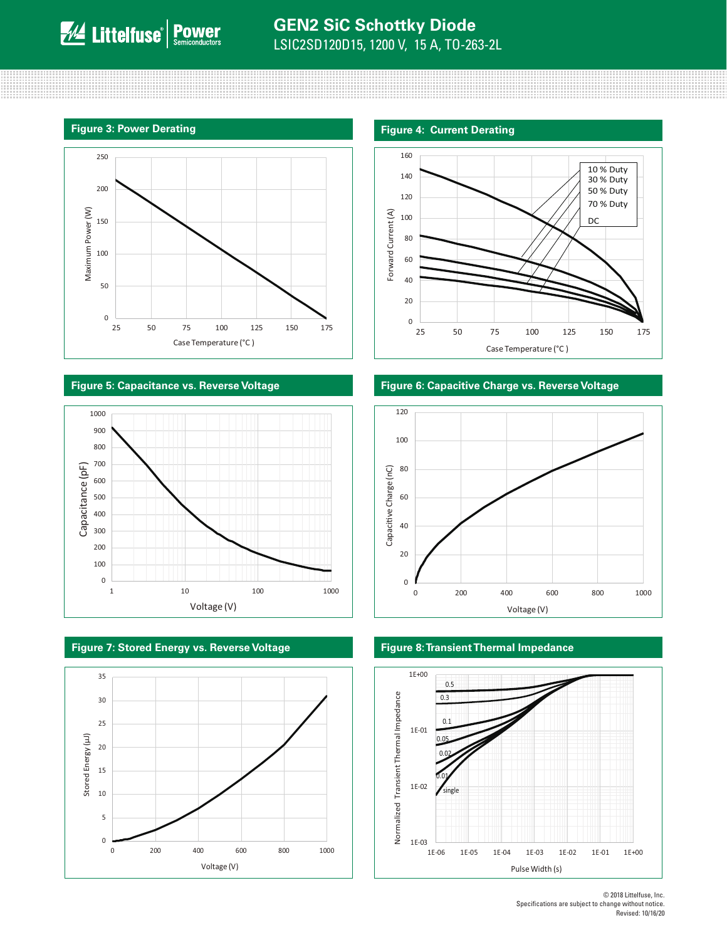

#### **Figure 5: Capacitance vs. Reverse Voltage Figure 6: Capacitive Charge vs. Reverse Voltage**





**Figure 7: Stored Energy vs. Reverse Voltage Figure 8: Transient Thermal Impedance**





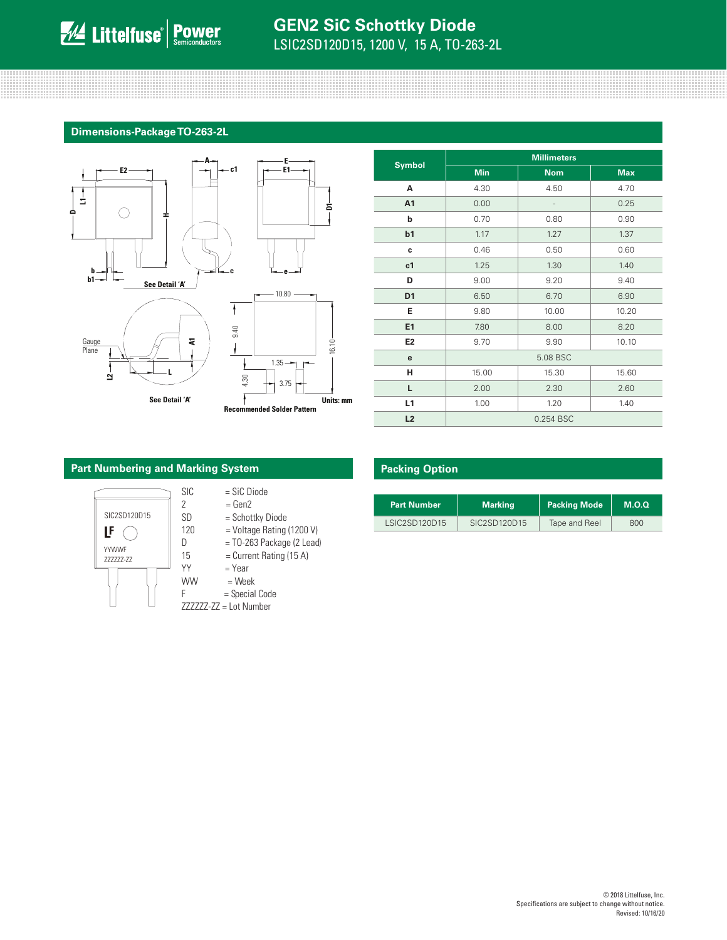## **GEN2 SiC Schottky Diode** LSIC2SD120D15, 1200 V, 15 A, TO-263-2L

#### **Dimensions-Package TO-263-2L**



|                | <b>Millimeters</b> |            |            |  |  |
|----------------|--------------------|------------|------------|--|--|
| <b>Symbol</b>  | <b>Min</b>         | <b>Nom</b> | <b>Max</b> |  |  |
| A              | 4.30               | 4.50       | 4.70       |  |  |
| A <sub>1</sub> | 0.00               |            | 0.25       |  |  |
| b              | 0.70               | 0.80       | 0.90       |  |  |
| b <sub>1</sub> | 1.17               | 1.27       | 1.37       |  |  |
| c              | 0.46               | 0.50       | 0.60       |  |  |
| c1             | 1.25               | 1.30       | 1.40       |  |  |
| D              | 9.00               | 9.20       | 9.40       |  |  |
| D <sub>1</sub> | 6.50               | 6.70       | 6.90       |  |  |
| Е              | 9.80               | 10.00      | 10.20      |  |  |
| E1             | 7.80               | 8.00       | 8.20       |  |  |
| E <sub>2</sub> | 9.70               | 9.90       | 10.10      |  |  |
| е              | 5.08 BSC           |            |            |  |  |
| н              | 15.00              | 15.30      | 15.60      |  |  |
| L.             | 2.00               | 2.30       | 2.60       |  |  |
| L1             | 1.00               | 1.20       | 1.40       |  |  |
| L2             | 0.254 BSC          |            |            |  |  |

#### **Part Numbering and Marking System**



| <b>SIC</b> | $=$ SiC Diode |  |
|------------|---------------|--|

- $2 = Gen2$
- SD = Schottky Diode
- $\begin{array}{ccc} \blacksquare \mathbf{F} & \bigcirc \hspace{1cm} \vert & 120 & \end{array}$  = Voltage Rating (1200 V)
	- $D = TO-263$  Package (2 Lead)
	- $15$  = Current Rating (15 A)
	- $YY = Year$
	- WW  $=$  Week<br>F  $=$  Specia
		- = Special Code
	- ZZZZZZ-ZZ = Lot Number

### **Packing Option**

| <b>Part Number</b> | <b>Marking</b> | <b>Packing Mode</b> | M.O.Q |
|--------------------|----------------|---------------------|-------|
| LSIC2SD120D15      | SIC2SD120D15   | Tape and Reel       | 800   |